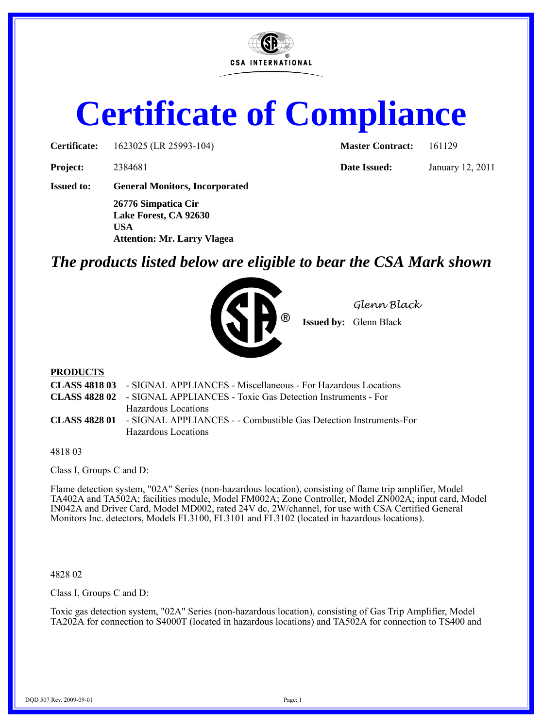

# **Certificate of Compliance**

**Certificate:** 1623025 (LR 25993-104) **Master Contract:** 161129

**Project:** 2384681 **Date Issued:** January 12, 2011

**Issued to: General Monitors, Incorporated**

**26776 Simpatica Cir Lake Forest, CA 92630 USA Attention: Mr. Larry Vlagea**

# *The products listed below are eligible to bear the CSA Mark shown*



*Glenn Black*

**Issued by:** Glenn Black

## **PRODUCTS**

| <b>CLASS 4818 03</b> - SIGNAL APPLIANCES - Miscellaneous - For Hazardous Locations     |
|----------------------------------------------------------------------------------------|
| <b>CLASS 4828 02</b> - SIGNAL APPLIANCES - Toxic Gas Detection Instruments - For       |
| Hazardous Locations                                                                    |
| <b>CLASS 4828 01</b> - SIGNAL APPLIANCES - - Combustible Gas Detection Instruments-For |
| Hazardous Locations                                                                    |
|                                                                                        |

4818 03

Class I, Groups C and D:

Flame detection system, "02A" Series (non-hazardous location), consisting of flame trip amplifier, Model TA402A and TA502A; facilities module, Model FM002A; Zone Controller, Model ZN002A; input card, Model IN042A and Driver Card, Model MD002, rated 24V dc, 2W/channel, for use with CSA Certified General Monitors Inc. detectors, Models FL3100, FL3101 and FL3102 (located in hazardous locations).

#### 4828 02

Class I, Groups C and D:

Toxic gas detection system, "02A" Series (non-hazardous location), consisting of Gas Trip Amplifier, Model TA202A for connection to S4000T (located in hazardous locations) and TA502A for connection to TS400 and